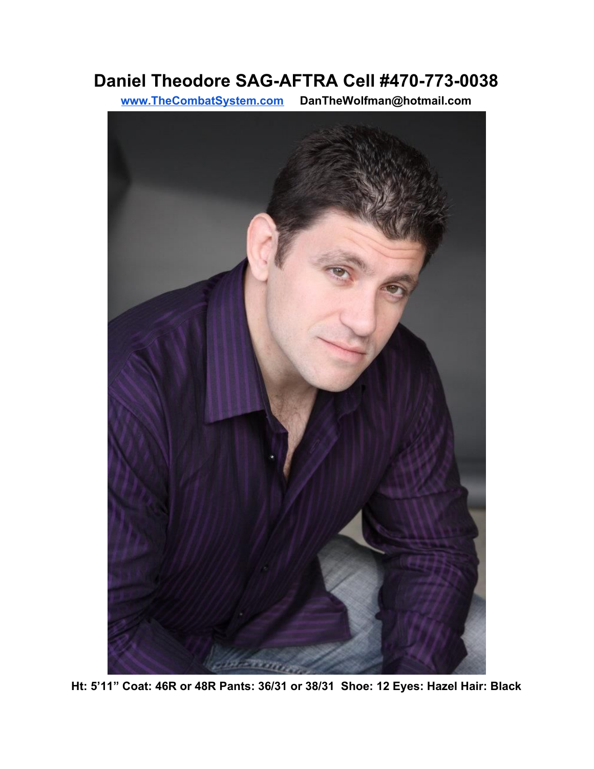## **Daniel Theodore SAG-AFTRA Cell #470-773-0038**

**[www.TheCombatSystem.com](http://www.thecombatsystem.com/) DanTheWolfman@hotmail.com**



**Ht: 5'11" Coat: 46R or 48R Pants: 36/31 or 38/31 Shoe: 12 Eyes: Hazel Hair: Black**